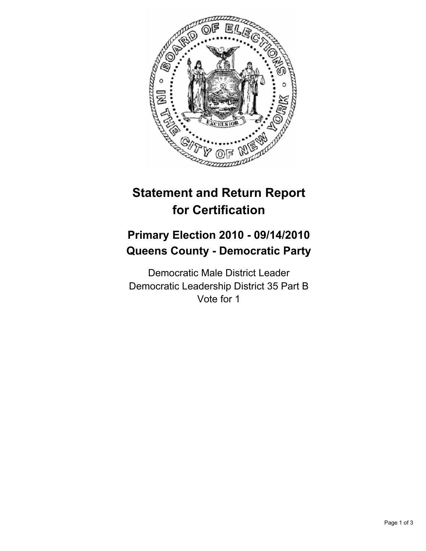

# **Statement and Return Report for Certification**

## **Primary Election 2010 - 09/14/2010 Queens County - Democratic Party**

Democratic Male District Leader Democratic Leadership District 35 Part B Vote for 1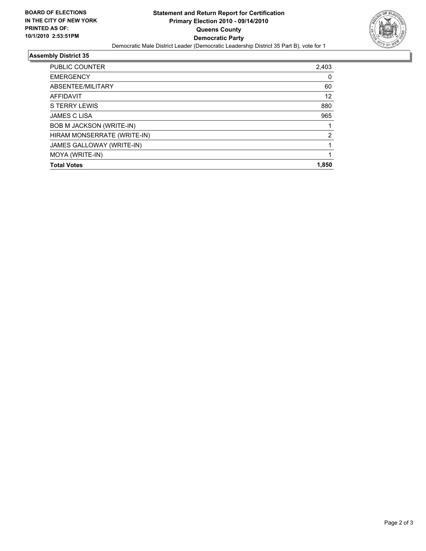

### **Assembly District 35**

| <b>PUBLIC COUNTER</b>           | 2,403 |
|---------------------------------|-------|
|                                 |       |
| <b>EMERGENCY</b>                | 0     |
| ABSENTEE/MILITARY               | 60    |
| <b>AFFIDAVIT</b>                | 12    |
| S TERRY LEWIS                   | 880   |
| <b>JAMES C LISA</b>             | 965   |
| <b>BOB M JACKSON (WRITE-IN)</b> |       |
| HIRAM MONSERRATE (WRITE-IN)     | 2     |
| JAMES GALLOWAY (WRITE-IN)       |       |
| MOYA (WRITE-IN)                 |       |
| <b>Total Votes</b>              | 1,850 |